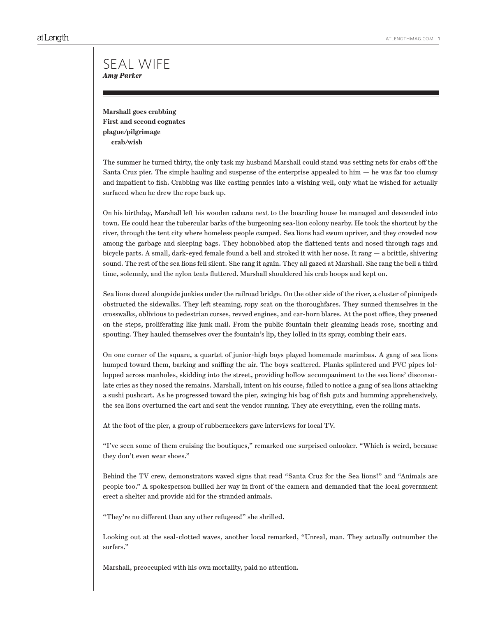**Marshall goes crabbing First and second cognates plague/pilgrimage crab/wish**

The summer he turned thirty, the only task my husband Marshall could stand was setting nets for crabs off the Santa Cruz pier. The simple hauling and suspense of the enterprise appealed to him  $-$  he was far too clumsy and impatient to fish. Crabbing was like casting pennies into a wishing well, only what he wished for actually surfaced when he drew the rope back up.

On his birthday, Marshall left his wooden cabana next to the boarding house he managed and descended into town. He could hear the tubercular barks of the burgeoning sea-lion colony nearby. He took the shortcut by the river, through the tent city where homeless people camped. Sea lions had swum upriver, and they crowded now among the garbage and sleeping bags. They hobnobbed atop the flattened tents and nosed through rags and bicycle parts. A small, dark-eyed female found a bell and stroked it with her nose. It rang — a brittle, shivering sound. The rest of the sea lions fell silent. She rang it again. They all gazed at Marshall. She rang the bell a third time, solemnly, and the nylon tents fluttered. Marshall shouldered his crab hoops and kept on.

Sea lions dozed alongside junkies under the railroad bridge. On the other side of the river, a cluster of pinnipeds obstructed the sidewalks. They left steaming, ropy scat on the thoroughfares. They sunned themselves in the crosswalks, oblivious to pedestrian curses, revved engines, and car-horn blares. At the post office, they preened on the steps, proliferating like junk mail. From the public fountain their gleaming heads rose, snorting and spouting. They hauled themselves over the fountain's lip, they lolled in its spray, combing their ears.

On one corner of the square, a quartet of junior-high boys played homemade marimbas. A gang of sea lions humped toward them, barking and sniffing the air. The boys scattered. Planks splintered and PVC pipes lollopped across manholes, skidding into the street, providing hollow accompaniment to the sea lions' disconsolate cries as they nosed the remains. Marshall, intent on his course, failed to notice a gang of sea lions attacking a sushi pushcart. As he progressed toward the pier, swinging his bag of fish guts and humming apprehensively, the sea lions overturned the cart and sent the vendor running. They ate everything, even the rolling mats.

At the foot of the pier, a group of rubberneckers gave interviews for local TV.

"I've seen some of them cruising the boutiques," remarked one surprised onlooker. "Which is weird, because they don't even wear shoes."

Behind the TV crew, demonstrators waved signs that read "Santa Cruz for the Sea lions!" and "Animals are people too." A spokesperson bullied her way in front of the camera and demanded that the local government erect a shelter and provide aid for the stranded animals.

"They're no different than any other refugees!" she shrilled.

Looking out at the seal-clotted waves, another local remarked, "Unreal, man. They actually outnumber the surfers."

Marshall, preoccupied with his own mortality, paid no attention.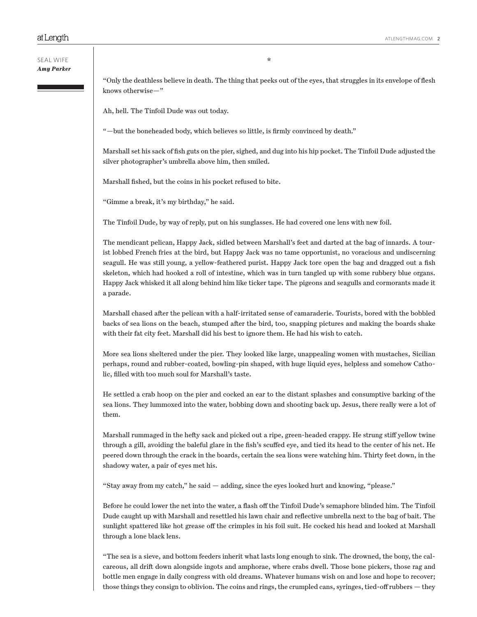"Only the deathless believe in death. The thing that peeks out of the eyes, that struggles in its envelope of flesh knows otherwise—"

Ah, hell. The Tinfoil Dude was out today.

"—but the boneheaded body, which believes so little, is firmly convinced by death."

Marshall set his sack of fish guts on the pier, sighed, and dug into his hip pocket. The Tinfoil Dude adjusted the silver photographer's umbrella above him, then smiled.

Marshall fished, but the coins in his pocket refused to bite.

"Gimme a break, it's my birthday," he said.

The Tinfoil Dude, by way of reply, put on his sunglasses. He had covered one lens with new foil.

The mendicant pelican, Happy Jack, sidled between Marshall's feet and darted at the bag of innards. A tourist lobbed French fries at the bird, but Happy Jack was no tame opportunist, no voracious and undiscerning seagull. He was still young, a yellow-feathered purist. Happy Jack tore open the bag and dragged out a fish skeleton, which had hooked a roll of intestine, which was in turn tangled up with some rubbery blue organs. Happy Jack whisked it all along behind him like ticker tape. The pigeons and seagulls and cormorants made it a parade.

Marshall chased after the pelican with a half-irritated sense of camaraderie. Tourists, bored with the bobbled backs of sea lions on the beach, stumped after the bird, too, snapping pictures and making the boards shake with their fat city feet. Marshall did his best to ignore them. He had his wish to catch.

More sea lions sheltered under the pier. They looked like large, unappealing women with mustaches, Sicilian perhaps, round and rubber-coated, bowling-pin shaped, with huge liquid eyes, helpless and somehow Catholic, filled with too much soul for Marshall's taste.

He settled a crab hoop on the pier and cocked an ear to the distant splashes and consumptive barking of the sea lions. They lummoxed into the water, bobbing down and shooting back up. Jesus, there really were a lot of them.

Marshall rummaged in the hefty sack and picked out a ripe, green-headed crappy. He strung stiff yellow twine through a gill, avoiding the baleful glare in the fish's scuffed eye, and tied its head to the center of his net. He peered down through the crack in the boards, certain the sea lions were watching him. Thirty feet down, in the shadowy water, a pair of eyes met his.

"Stay away from my catch," he said — adding, since the eyes looked hurt and knowing, "please."

Before he could lower the net into the water, a flash off the Tinfoil Dude's semaphore blinded him. The Tinfoil Dude caught up with Marshall and resettled his lawn chair and reflective umbrella next to the bag of bait. The sunlight spattered like hot grease off the crimples in his foil suit. He cocked his head and looked at Marshall through a lone black lens.

"The sea is a sieve, and bottom feeders inherit what lasts long enough to sink. The drowned, the bony, the calcareous, all drift down alongside ingots and amphorae, where crabs dwell. Those bone pickers, those rag and bottle men engage in daily congress with old dreams. Whatever humans wish on and lose and hope to recover; those things they consign to oblivion. The coins and rings, the crumpled cans, syringes, tied-off rubbers — they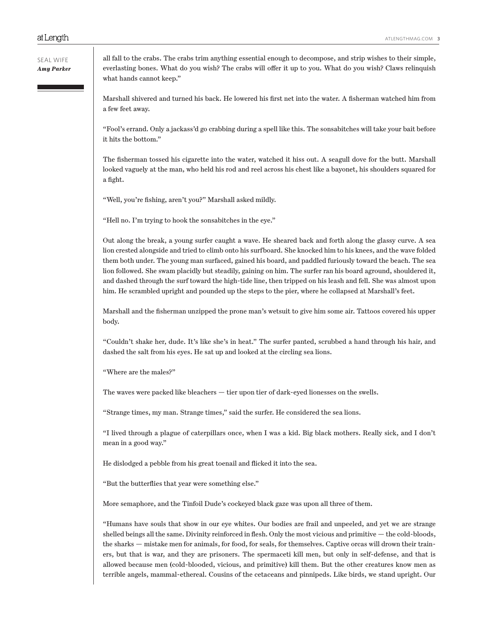ATLENGTHMAG.COM 3

all fall to the crabs. The crabs trim anything essential enough to decompose, and strip wishes to their simple, everlasting bones. What do you wish? The crabs will offer it up to you. What do you wish? Claws relinquish what hands cannot keep."

Marshall shivered and turned his back. He lowered his first net into the water. A fisherman watched him from a few feet away.

"Fool's errand. Only a jackass'd go crabbing during a spell like this. The sonsabitches will take your bait before it hits the bottom."

The fisherman tossed his cigarette into the water, watched it hiss out. A seagull dove for the butt. Marshall looked vaguely at the man, who held his rod and reel across his chest like a bayonet, his shoulders squared for a fight.

"Well, you're fishing, aren't you?" Marshall asked mildly.

"Hell no. I'm trying to hook the sonsabitches in the eye."

Out along the break, a young surfer caught a wave. He sheared back and forth along the glassy curve. A sea lion crested alongside and tried to climb onto his surfboard. She knocked him to his knees, and the wave folded them both under. The young man surfaced, gained his board, and paddled furiously toward the beach. The sea lion followed. She swam placidly but steadily, gaining on him. The surfer ran his board aground, shouldered it, and dashed through the surf toward the high-tide line, then tripped on his leash and fell. She was almost upon him. He scrambled upright and pounded up the steps to the pier, where he collapsed at Marshall's feet.

Marshall and the fisherman unzipped the prone man's wetsuit to give him some air. Tattoos covered his upper body.

"Couldn't shake her, dude. It's like she's in heat." The surfer panted, scrubbed a hand through his hair, and dashed the salt from his eyes. He sat up and looked at the circling sea lions.

"Where are the males?"

The waves were packed like bleachers — tier upon tier of dark-eyed lionesses on the swells.

"Strange times, my man. Strange times," said the surfer. He considered the sea lions.

"I lived through a plague of caterpillars once, when I was a kid. Big black mothers. Really sick, and I don't mean in a good way."

He dislodged a pebble from his great toenail and flicked it into the sea.

"But the butterflies that year were something else."

More semaphore, and the Tinfoil Dude's cockeyed black gaze was upon all three of them.

"Humans have souls that show in our eye whites. Our bodies are frail and unpeeled, and yet we are strange shelled beings all the same. Divinity reinforced in flesh. Only the most vicious and primitive — the cold-bloods, the sharks — mistake men for animals, for food, for seals, for themselves. Captive orcas will drown their trainers, but that is war, and they are prisoners. The spermaceti kill men, but only in self-defense, and that is allowed because men (cold-blooded, vicious, and primitive) kill them. But the other creatures know men as terrible angels, mammal-ethereal. Cousins of the cetaceans and pinnipeds. Like birds, we stand upright. Our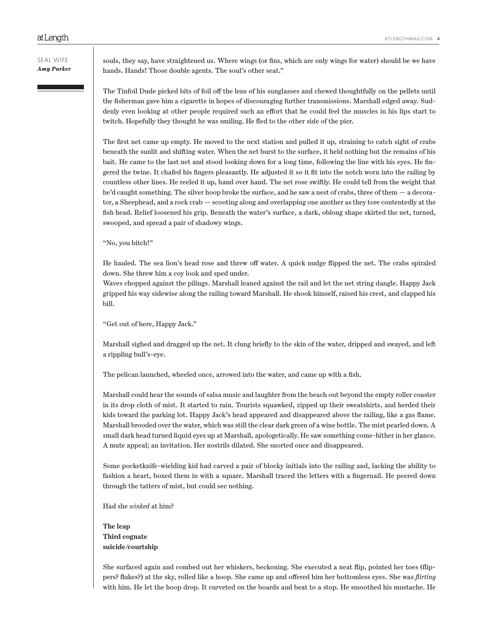souls, they say, have straightened us. Where wings (or fins, which are only wings for water) should be we have hands. Hands! Those double agents. The soul's other seat."

The Tinfoil Dude picked bits of foil off the lens of his sunglasses and chewed thoughtfully on the pellets until the fisherman gave him a cigarette in hopes of discouraging further transmissions. Marshall edged away. Suddenly even looking at other people required such an effort that he could feel the muscles in his lips start to twitch. Hopefully they thought he was smiling. He fled to the other side of the pier.

The first net came up empty. He moved to the next station and pulled it up, straining to catch sight of crabs beneath the sunlit and shifting water. When the net burst to the surface, it held nothing but the remains of his bait. He came to the last net and stood looking down for a long time, following the line with his eyes. He fingered the twine. It chafed his fingers pleasantly. He adjusted it so it fit into the notch worn into the railing by countless other lines. He reeled it up, hand over hand. The net rose swiftly. He could tell from the weight that he'd caught something. The silver hoop broke the surface, and he saw a nest of crabs, three of them — a decorator, a Sheephead, and a rock crab — scooting along and overlapping one another as they tore contentedly at the fish head. Relief loosened his grip. Beneath the water's surface, a dark, oblong shape skirted the net, turned, swooped, and spread a pair of shadowy wings.

"No, you bitch!"

He hauled. The sea lion's head rose and threw off water. A quick nudge flipped the net. The crabs spiraled down. She threw him a coy look and sped under.

Waves chopped against the pilings. Marshall leaned against the rail and let the net string dangle. Happy Jack gripped his way sidewise along the railing toward Marshall. He shook himself, raised his crest, and clapped his bill.

"Get out of here, Happy Jack."

Marshall sighed and dragged up the net. It clung briefly to the skin of the water, dripped and swayed, and left a rippling bull's-eye.

The pelican launched, wheeled once, arrowed into the water, and came up with a fish.

Marshall could hear the sounds of salsa music and laughter from the beach out beyond the empty roller coaster in its drop cloth of mist. It started to rain. Tourists squawked, zipped up their sweatshirts, and herded their kids toward the parking lot. Happy Jack's head appeared and disappeared above the railing, like a gas flame. Marshall brooded over the water, which was still the clear dark green of a wine bottle. The mist pearled down. A small dark head turned liquid eyes up at Marshall, apologetically. He saw something come-hither in her glance. A mute appeal; an invitation. Her nostrils dilated. She snorted once and disappeared.

Some pocketknife-wielding kid had carved a pair of blocky initials into the railing and, lacking the ability to fashion a heart, boxed them in with a square. Marshall traced the letters with a fingernail. He peered down through the tatters of mist, but could see nothing.

Had she *winked* at him?

**The leap Third cognate suicide/courtship** 

She surfaced again and combed out her whiskers, beckoning. She executed a neat flip, pointed her toes (flippers? flukes?) at the sky, rolled like a hoop. She came up and offered him her bottomless eyes. She was *flirting* with him. He let the hoop drop. It curveted on the boards and beat to a stop. He smoothed his mustache. He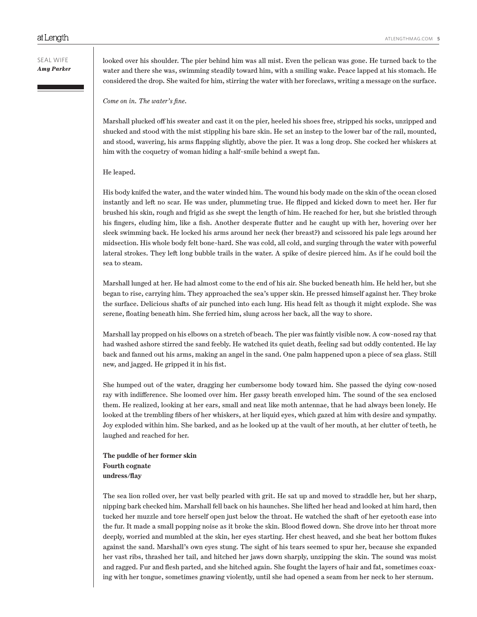looked over his shoulder. The pier behind him was all mist. Even the pelican was gone. He turned back to the water and there she was, swimming steadily toward him, with a smiling wake. Peace lapped at his stomach. He considered the drop. She waited for him, stirring the water with her foreclaws, writing a message on the surface.

*Come on in. The water's fine.*

Marshall plucked off his sweater and cast it on the pier, heeled his shoes free, stripped his socks, unzipped and shucked and stood with the mist stippling his bare skin. He set an instep to the lower bar of the rail, mounted, and stood, wavering, his arms flapping slightly, above the pier. It was a long drop. She cocked her whiskers at him with the coquetry of woman hiding a half-smile behind a swept fan.

#### He leaped.

His body knifed the water, and the water winded him. The wound his body made on the skin of the ocean closed instantly and left no scar. He was under, plummeting true. He flipped and kicked down to meet her. Her fur brushed his skin, rough and frigid as she swept the length of him. He reached for her, but she bristled through his fingers, eluding him, like a fish. Another desperate flutter and he caught up with her, hovering over her sleek swimming back. He locked his arms around her neck (her breast?) and scissored his pale legs around her midsection. His whole body felt bone-hard. She was cold, all cold, and surging through the water with powerful lateral strokes. They left long bubble trails in the water. A spike of desire pierced him. As if he could boil the sea to steam.

Marshall lunged at her. He had almost come to the end of his air. She bucked beneath him. He held her, but she began to rise, carrying him. They approached the sea's upper skin. He pressed himself against her. They broke the surface. Delicious shafts of air punched into each lung. His head felt as though it might explode. She was serene, floating beneath him. She ferried him, slung across her back, all the way to shore.

Marshall lay propped on his elbows on a stretch of beach. The pier was faintly visible now. A cow-nosed ray that had washed ashore stirred the sand feebly. He watched its quiet death, feeling sad but oddly contented. He lay back and fanned out his arms, making an angel in the sand. One palm happened upon a piece of sea glass. Still new, and jagged. He gripped it in his fist.

She humped out of the water, dragging her cumbersome body toward him. She passed the dying cow-nosed ray with indifference. She loomed over him. Her gassy breath enveloped him. The sound of the sea enclosed them. He realized, looking at her ears, small and neat like moth antennae, that he had always been lonely. He looked at the trembling fibers of her whiskers, at her liquid eyes, which gazed at him with desire and sympathy. Joy exploded within him. She barked, and as he looked up at the vault of her mouth, at her clutter of teeth, he laughed and reached for her.

**The puddle of her former skin Fourth cognate undress/flay**

The sea lion rolled over, her vast belly pearled with grit. He sat up and moved to straddle her, but her sharp, nipping bark checked him. Marshall fell back on his haunches. She lifted her head and looked at him hard, then tucked her muzzle and tore herself open just below the throat. He watched the shaft of her eyetooth ease into the fur. It made a small popping noise as it broke the skin. Blood flowed down. She drove into her throat more deeply, worried and mumbled at the skin, her eyes starting. Her chest heaved, and she beat her bottom flukes against the sand. Marshall's own eyes stung. The sight of his tears seemed to spur her, because she expanded her vast ribs, thrashed her tail, and hitched her jaws down sharply, unzipping the skin. The sound was moist and ragged. Fur and flesh parted, and she hitched again. She fought the layers of hair and fat, sometimes coaxing with her tongue, sometimes gnawing violently, until she had opened a seam from her neck to her sternum.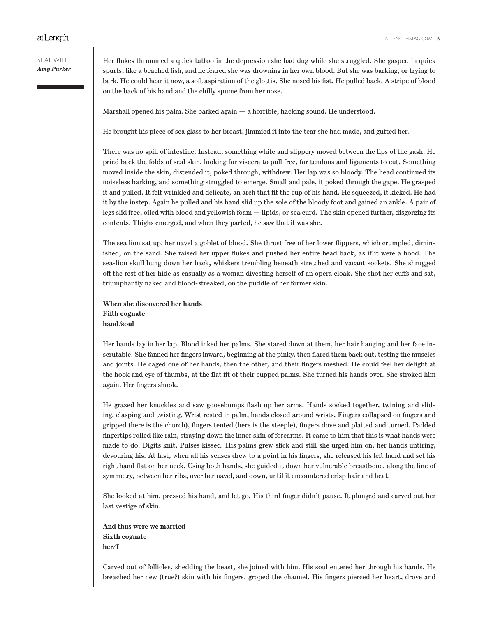# SEAL WIFE *Amy Parker*

Her flukes thrummed a quick tattoo in the depression she had dug while she struggled. She gasped in quick spurts, like a beached fish, and he feared she was drowning in her own blood. But she was barking, or trying to bark. He could hear it now, a soft aspiration of the glottis. She nosed his fist. He pulled back. A stripe of blood on the back of his hand and the chilly spume from her nose.

Marshall opened his palm. She barked again — a horrible, hacking sound. He understood.

He brought his piece of sea glass to her breast, jimmied it into the tear she had made, and gutted her.

There was no spill of intestine. Instead, something white and slippery moved between the lips of the gash. He pried back the folds of seal skin, looking for viscera to pull free, for tendons and ligaments to cut. Something moved inside the skin, distended it, poked through, withdrew. Her lap was so bloody. The head continued its noiseless barking, and something struggled to emerge. Small and pale, it poked through the gape. He grasped it and pulled. It felt wrinkled and delicate, an arch that fit the cup of his hand. He squeezed, it kicked. He had it by the instep. Again he pulled and his hand slid up the sole of the bloody foot and gained an ankle. A pair of legs slid free, oiled with blood and yellowish foam — lipids, or sea curd. The skin opened further, disgorging its contents. Thighs emerged, and when they parted, he saw that it was she.

The sea lion sat up, her navel a goblet of blood. She thrust free of her lower flippers, which crumpled, diminished, on the sand. She raised her upper flukes and pushed her entire head back, as if it were a hood. The sea-lion skull hung down her back, whiskers trembling beneath stretched and vacant sockets. She shrugged off the rest of her hide as casually as a woman divesting herself of an opera cloak. She shot her cuffs and sat, triumphantly naked and blood-streaked, on the puddle of her former skin.

**When she discovered her hands Fifth cognate hand/soul**

Her hands lay in her lap. Blood inked her palms. She stared down at them, her hair hanging and her face inscrutable. She fanned her fingers inward, beginning at the pinky, then flared them back out, testing the muscles and joints. He caged one of her hands, then the other, and their fingers meshed. He could feel her delight at the hook and eye of thumbs, at the flat fit of their cupped palms. She turned his hands over. She stroked him again. Her fingers shook.

He grazed her knuckles and saw goosebumps flash up her arms. Hands socked together, twining and sliding, clasping and twisting. Wrist rested in palm, hands closed around wrists. Fingers collapsed on fingers and gripped (here is the church), fingers tented (here is the steeple), fingers dove and plaited and turned. Padded fingertips rolled like rain, straying down the inner skin of forearms. It came to him that this is what hands were made to do. Digits knit. Pulses kissed. His palms grew slick and still she urged him on, her hands untiring, devouring his. At last, when all his senses drew to a point in his fingers, she released his left hand and set his right hand flat on her neck. Using both hands, she guided it down her vulnerable breastbone, along the line of symmetry, between her ribs, over her navel, and down, until it encountered crisp hair and heat.

She looked at him, pressed his hand, and let go. His third finger didn't pause. It plunged and carved out her last vestige of skin.

**And thus were we married Sixth cognate her/I**

Carved out of follicles, shedding the beast, she joined with him. His soul entered her through his hands. He breached her new (true?) skin with his fingers, groped the channel. His fingers pierced her heart, drove and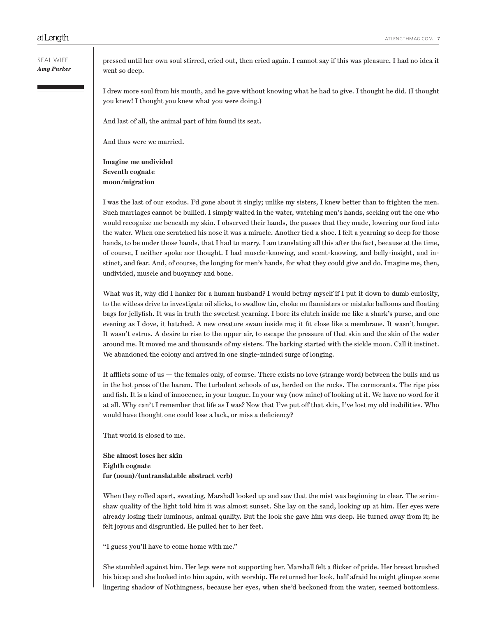SEAL WIFE *Amy Parker* pressed until her own soul stirred, cried out, then cried again. I cannot say if this was pleasure. I had no idea it went so deep.

I drew more soul from his mouth, and he gave without knowing what he had to give. I thought he did. (I thought you knew! I thought you knew what you were doing.)

And last of all, the animal part of him found its seat.

And thus were we married.

**Imagine me undivided Seventh cognate moon/migration**

I was the last of our exodus. I'd gone about it singly; unlike my sisters, I knew better than to frighten the men. Such marriages cannot be bullied. I simply waited in the water, watching men's hands, seeking out the one who would recognize me beneath my skin. I observed their hands, the passes that they made, lowering our food into the water. When one scratched his nose it was a miracle. Another tied a shoe. I felt a yearning so deep for those hands, to be under those hands, that I had to marry. I am translating all this after the fact, because at the time, of course, I neither spoke nor thought. I had muscle-knowing, and scent-knowing, and belly-insight, and instinct, and fear. And, of course, the longing for men's hands, for what they could give and do. Imagine me, then, undivided, muscle and buoyancy and bone.

What was it, why did I hanker for a human husband? I would betray myself if I put it down to dumb curiosity, to the witless drive to investigate oil slicks, to swallow tin, choke on flannisters or mistake balloons and floating bags for jellyfish. It was in truth the sweetest yearning. I bore its clutch inside me like a shark's purse, and one evening as I dove, it hatched. A new creature swam inside me; it fit close like a membrane. It wasn't hunger. It wasn't estrus. A desire to rise to the upper air, to escape the pressure of that skin and the skin of the water around me. It moved me and thousands of my sisters. The barking started with the sickle moon. Call it instinct. We abandoned the colony and arrived in one single-minded surge of longing.

It afflicts some of us  $-$  the females only, of course. There exists no love (strange word) between the bulls and us in the hot press of the harem. The turbulent schools of us, herded on the rocks. The cormorants. The ripe piss and fish. It is a kind of innocence, in your tongue. In your way (now mine) of looking at it. We have no word for it at all. Why can't I remember that life as I was? Now that I've put off that skin, I've lost my old inabilities. Who would have thought one could lose a lack, or miss a deficiency?

That world is closed to me.

**She almost loses her skin Eighth cognate fur (noun)/(untranslatable abstract verb)**

When they rolled apart, sweating, Marshall looked up and saw that the mist was beginning to clear. The scrimshaw quality of the light told him it was almost sunset. She lay on the sand, looking up at him. Her eyes were already losing their luminous, animal quality. But the look she gave him was deep. He turned away from it; he felt joyous and disgruntled. He pulled her to her feet.

"I guess you'll have to come home with me."

She stumbled against him. Her legs were not supporting her. Marshall felt a flicker of pride. Her breast brushed his bicep and she looked into him again, with worship. He returned her look, half afraid he might glimpse some lingering shadow of Nothingness, because her eyes, when she'd beckoned from the water, seemed bottomless.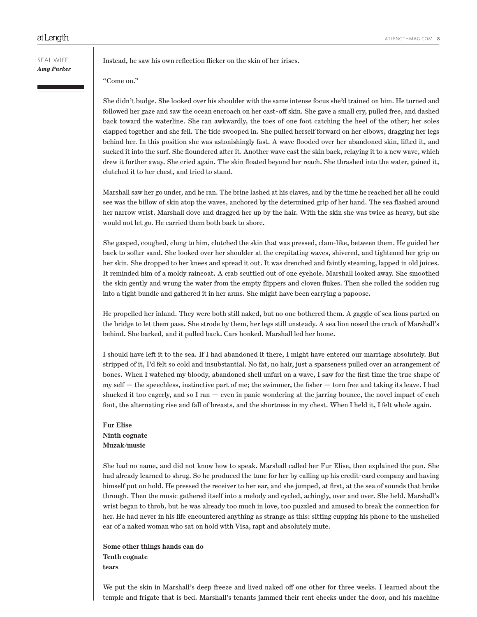Instead, he saw his own reflection flicker on the skin of her irises.

"Come on."

She didn't budge. She looked over his shoulder with the same intense focus she'd trained on him. He turned and followed her gaze and saw the ocean encroach on her cast-off skin. She gave a small cry, pulled free, and dashed back toward the waterline. She ran awkwardly, the toes of one foot catching the heel of the other; her soles clapped together and she fell. The tide swooped in. She pulled herself forward on her elbows, dragging her legs behind her. In this position she was astonishingly fast. A wave flooded over her abandoned skin, lifted it, and sucked it into the surf. She floundered after it. Another wave cast the skin back, relaying it to a new wave, which drew it further away. She cried again. The skin floated beyond her reach. She thrashed into the water, gained it, clutched it to her chest, and tried to stand.

Marshall saw her go under, and he ran. The brine lashed at his claves, and by the time he reached her all he could see was the billow of skin atop the waves, anchored by the determined grip of her hand. The sea flashed around her narrow wrist. Marshall dove and dragged her up by the hair. With the skin she was twice as heavy, but she would not let go. He carried them both back to shore.

She gasped, coughed, clung to him, clutched the skin that was pressed, clam-like, between them. He guided her back to softer sand. She looked over her shoulder at the crepitating waves, shivered, and tightened her grip on her skin. She dropped to her knees and spread it out. It was drenched and faintly steaming, lapped in old juices. It reminded him of a moldy raincoat. A crab scuttled out of one eyehole. Marshall looked away. She smoothed the skin gently and wrung the water from the empty flippers and cloven flukes. Then she rolled the sodden rug into a tight bundle and gathered it in her arms. She might have been carrying a papoose.

He propelled her inland. They were both still naked, but no one bothered them. A gaggle of sea lions parted on the bridge to let them pass. She strode by them, her legs still unsteady. A sea lion nosed the crack of Marshall's behind. She barked, and it pulled back. Cars honked. Marshall led her home.

I should have left it to the sea. If I had abandoned it there, I might have entered our marriage absolutely. But stripped of it, I'd felt so cold and insubstantial. No fat, no hair, just a sparseness pulled over an arrangement of bones. When I watched my bloody, abandoned shell unfurl on a wave, I saw for the first time the true shape of my self — the speechless, instinctive part of me; the swimmer, the fisher — torn free and taking its leave. I had shucked it too eagerly, and so I ran — even in panic wondering at the jarring bounce, the novel impact of each foot, the alternating rise and fall of breasts, and the shortness in my chest. When I held it, I felt whole again.

**Fur Elise Ninth cognate Muzak/music**

She had no name, and did not know how to speak. Marshall called her Fur Elise, then explained the pun. She had already learned to shrug. So he produced the tune for her by calling up his credit-card company and having himself put on hold. He pressed the receiver to her ear, and she jumped, at first, at the sea of sounds that broke through. Then the music gathered itself into a melody and cycled, achingly, over and over. She held. Marshall's wrist began to throb, but he was already too much in love, too puzzled and amused to break the connection for her. He had never in his life encountered anything as strange as this: sitting cupping his phone to the unshelled ear of a naked woman who sat on hold with Visa, rapt and absolutely mute.

**Some other things hands can do Tenth cognate tears**

We put the skin in Marshall's deep freeze and lived naked off one other for three weeks. I learned about the temple and frigate that is bed. Marshall's tenants jammed their rent checks under the door, and his machine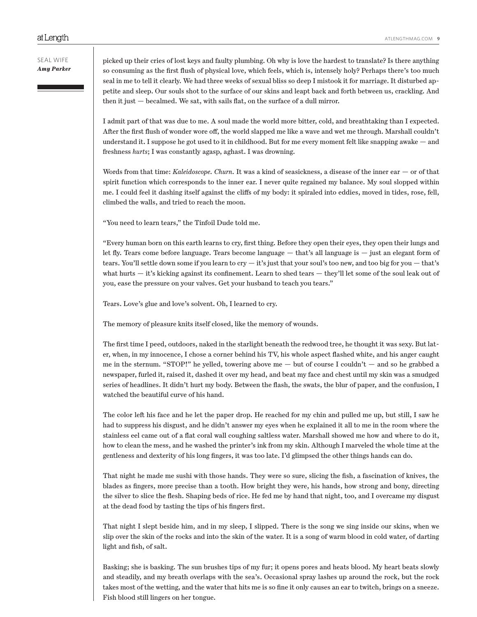# SEAL WIFE *Amy Parker*

picked up their cries of lost keys and faulty plumbing. Oh why is love the hardest to translate? Is there anything so consuming as the first flush of physical love, which feels, which is, intensely holy? Perhaps there's too much seal in me to tell it clearly. We had three weeks of sexual bliss so deep I mistook it for marriage. It disturbed appetite and sleep. Our souls shot to the surface of our skins and leapt back and forth between us, crackling. And then it just — becalmed. We sat, with sails flat, on the surface of a dull mirror.

I admit part of that was due to me. A soul made the world more bitter, cold, and breathtaking than I expected. After the first flush of wonder wore off, the world slapped me like a wave and wet me through. Marshall couldn't understand it. I suppose he got used to it in childhood. But for me every moment felt like snapping awake — and freshness *hurts*; I was constantly agasp, aghast. I was drowning.

Words from that time: *Kaleidoscope. Churn.* It was a kind of seasickness, a disease of the inner ear — or of that spirit function which corresponds to the inner ear. I never quite regained my balance. My soul slopped within me. I could feel it dashing itself against the cliffs of my body: it spiraled into eddies, moved in tides, rose, fell, climbed the walls, and tried to reach the moon.

"You need to learn tears," the Tinfoil Dude told me.

"Every human born on this earth learns to cry, first thing. Before they open their eyes, they open their lungs and let fly. Tears come before language. Tears become language — that's all language is — just an elegant form of tears. You'll settle down some if you learn to  $\text{cry} - \text{it's}$  just that your soul's too new, and too big for you  $-\text{that's}$ what hurts — it's kicking against its confinement. Learn to shed tears — they'll let some of the soul leak out of you, ease the pressure on your valves. Get your husband to teach you tears."

Tears. Love's glue and love's solvent. Oh, I learned to cry.

The memory of pleasure knits itself closed, like the memory of wounds.

The first time I peed, outdoors, naked in the starlight beneath the redwood tree, he thought it was sexy. But later, when, in my innocence, I chose a corner behind his TV, his whole aspect flashed white, and his anger caught me in the sternum. "STOP!" he yelled, towering above me — but of course I couldn't — and so he grabbed a newspaper, furled it, raised it, dashed it over my head, and beat my face and chest until my skin was a smudged series of headlines. It didn't hurt my body. Between the flash, the swats, the blur of paper, and the confusion, I watched the beautiful curve of his hand.

The color left his face and he let the paper drop. He reached for my chin and pulled me up, but still, I saw he had to suppress his disgust, and he didn't answer my eyes when he explained it all to me in the room where the stainless eel came out of a flat coral wall coughing saltless water. Marshall showed me how and where to do it, how to clean the mess, and he washed the printer's ink from my skin. Although I marveled the whole time at the gentleness and dexterity of his long fingers, it was too late. I'd glimpsed the other things hands can do.

That night he made me sushi with those hands. They were so sure, slicing the fish, a fascination of knives, the blades as fingers, more precise than a tooth. How bright they were, his hands, how strong and bony, directing the silver to slice the flesh. Shaping beds of rice. He fed me by hand that night, too, and I overcame my disgust at the dead food by tasting the tips of his fingers first.

That night I slept beside him, and in my sleep, I slipped. There is the song we sing inside our skins, when we slip over the skin of the rocks and into the skin of the water. It is a song of warm blood in cold water, of darting light and fish, of salt.

Basking; she is basking. The sun brushes tips of my fur; it opens pores and heats blood. My heart beats slowly and steadily, and my breath overlaps with the sea's. Occasional spray lashes up around the rock, but the rock takes most of the wetting, and the water that hits me is so fine it only causes an ear to twitch, brings on a sneeze. Fish blood still lingers on her tongue.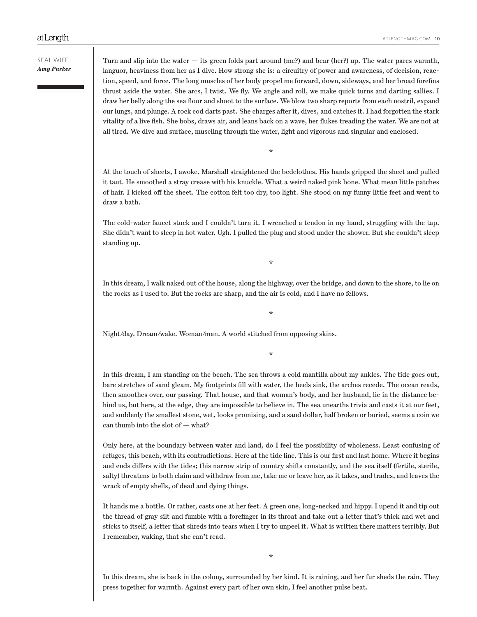Turn and slip into the water — its green folds part around (me?) and bear (her?) up. The water pares warmth, languor, heaviness from her as I dive. How strong she is: a circuitry of power and awareness, of decision, reaction, speed, and force. The long muscles of her body propel me forward, down, sideways, and her broad forefins thrust aside the water. She arcs, I twist. We fly. We angle and roll, we make quick turns and darting sallies. I draw her belly along the sea floor and shoot to the surface. We blow two sharp reports from each nostril, expand our lungs, and plunge. A rock cod darts past. She charges after it, dives, and catches it. I had forgotten the stark vitality of a live fish. She bobs, draws air, and leans back on a wave, her flukes treading the water. We are not at all tired. We dive and surface, muscling through the water, light and vigorous and singular and enclosed.

\*

At the touch of sheets, I awoke. Marshall straightened the bedclothes. His hands gripped the sheet and pulled it taut. He smoothed a stray crease with his knuckle. What a weird naked pink bone. What mean little patches of hair. I kicked off the sheet. The cotton felt too dry, too light. She stood on my funny little feet and went to draw a bath.

The cold-water faucet stuck and I couldn't turn it. I wrenched a tendon in my hand, struggling with the tap. She didn't want to sleep in hot water. Ugh. I pulled the plug and stood under the shower. But she couldn't sleep standing up.

\*

In this dream, I walk naked out of the house, along the highway, over the bridge, and down to the shore, to lie on the rocks as I used to. But the rocks are sharp, and the air is cold, and I have no fellows.

\*

Night/day. Dream/wake. Woman/man. A world stitched from opposing skins.

\*

In this dream, I am standing on the beach. The sea throws a cold mantilla about my ankles. The tide goes out, bare stretches of sand gleam. My footprints fill with water, the heels sink, the arches recede. The ocean reads, then smoothes over, our passing. That house, and that woman's body, and her husband, lie in the distance behind us, but here, at the edge, they are impossible to believe in. The sea unearths trivia and casts it at our feet, and suddenly the smallest stone, wet, looks promising, and a sand dollar, half broken or buried, seems a coin we can thumb into the slot of — what?

Only here, at the boundary between water and land, do I feel the possibility of wholeness. Least confusing of refuges, this beach, with its contradictions. Here at the tide line. This is our first and last home. Where it begins and ends differs with the tides; this narrow strip of country shifts constantly, and the sea itself (fertile, sterile, salty) threatens to both claim and withdraw from me, take me or leave her, as it takes, and trades, and leaves the wrack of empty shells, of dead and dying things.

It hands me a bottle. Or rather, casts one at her feet. A green one, long-necked and hippy. I upend it and tip out the thread of gray silt and fumble with a forefinger in its throat and take out a letter that's thick and wet and sticks to itself, a letter that shreds into tears when I try to unpeel it. What is written there matters terribly. But I remember, waking, that she can't read.

In this dream, she is back in the colony, surrounded by her kind. It is raining, and her fur sheds the rain. They press together for warmth. Against every part of her own skin, I feel another pulse beat.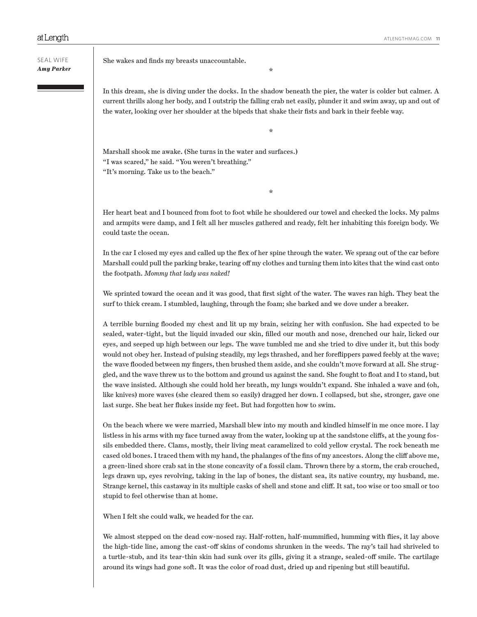SEAL WIFE *Amy Parker* She wakes and finds my breasts unaccountable.

In this dream, she is diving under the docks. In the shadow beneath the pier, the water is colder but calmer. A current thrills along her body, and I outstrip the falling crab net easily, plunder it and swim away, up and out of the water, looking over her shoulder at the bipeds that shake their fists and bark in their feeble way.

\*

\*

Marshall shook me awake. (She turns in the water and surfaces.) "I was scared," he said. "You weren't breathing." "It's morning. Take us to the beach."

Her heart beat and I bounced from foot to foot while he shouldered our towel and checked the locks. My palms and armpits were damp, and I felt all her muscles gathered and ready, felt her inhabiting this foreign body. We could taste the ocean.

\*

In the car I closed my eyes and called up the flex of her spine through the water. We sprang out of the car before Marshall could pull the parking brake, tearing off my clothes and turning them into kites that the wind cast onto the footpath. *Mommy that lady was naked!*

We sprinted toward the ocean and it was good, that first sight of the water. The waves ran high. They beat the surf to thick cream. I stumbled, laughing, through the foam; she barked and we dove under a breaker.

A terrible burning flooded my chest and lit up my brain, seizing her with confusion. She had expected to be sealed, water-tight, but the liquid invaded our skin, filled our mouth and nose, drenched our hair, licked our eyes, and seeped up high between our legs. The wave tumbled me and she tried to dive under it, but this body would not obey her. Instead of pulsing steadily, my legs thrashed, and her foreflippers pawed feebly at the wave; the wave flooded between my fingers, then brushed them aside, and she couldn't move forward at all. She struggled, and the wave threw us to the bottom and ground us against the sand. She fought to float and I to stand, but the wave insisted. Although she could hold her breath, my lungs wouldn't expand. She inhaled a wave and (oh, like knives) more waves (she cleared them so easily) dragged her down. I collapsed, but she, stronger, gave one last surge. She beat her flukes inside my feet. But had forgotten how to swim.

On the beach where we were married, Marshall blew into my mouth and kindled himself in me once more. I lay listless in his arms with my face turned away from the water, looking up at the sandstone cliffs, at the young fossils embedded there. Clams, mostly, their living meat caramelized to cold yellow crystal. The rock beneath me cased old bones. I traced them with my hand, the phalanges of the fins of my ancestors. Along the cliff above me, a green-lined shore crab sat in the stone concavity of a fossil clam. Thrown there by a storm, the crab crouched, legs drawn up, eyes revolving, taking in the lap of bones, the distant sea, its native country, my husband, me. Strange kernel, this castaway in its multiple casks of shell and stone and cliff. It sat, too wise or too small or too stupid to feel otherwise than at home.

When I felt she could walk, we headed for the car.

We almost stepped on the dead cow-nosed ray. Half-rotten, half-mummified, humming with flies, it lay above the high-tide line, among the cast-off skins of condoms shrunken in the weeds. The ray's tail had shriveled to a turtle-stub, and its tear-thin skin had sunk over its gills, giving it a strange, sealed-off smile. The cartilage around its wings had gone soft. It was the color of road dust, dried up and ripening but still beautiful.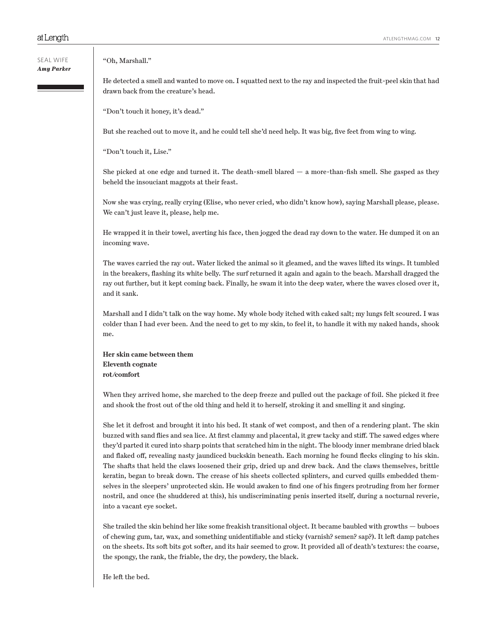### "Oh, Marshall."

He detected a smell and wanted to move on. I squatted next to the ray and inspected the fruit-peel skin that had drawn back from the creature's head.

"Don't touch it honey, it's dead."

But she reached out to move it, and he could tell she'd need help. It was big, five feet from wing to wing.

"Don't touch it, Lise."

She picked at one edge and turned it. The death-smell blared  $-$  a more-than-fish smell. She gasped as they beheld the insouciant maggots at their feast.

Now she was crying, really crying (Elise, who never cried, who didn't know how), saying Marshall please, please. We can't just leave it, please, help me.

He wrapped it in their towel, averting his face, then jogged the dead ray down to the water. He dumped it on an incoming wave.

The waves carried the ray out. Water licked the animal so it gleamed, and the waves lifted its wings. It tumbled in the breakers, flashing its white belly. The surf returned it again and again to the beach. Marshall dragged the ray out further, but it kept coming back. Finally, he swam it into the deep water, where the waves closed over it, and it sank.

Marshall and I didn't talk on the way home. My whole body itched with caked salt; my lungs felt scoured. I was colder than I had ever been. And the need to get to my skin, to feel it, to handle it with my naked hands, shook me.

**Her skin came between them Eleventh cognate rot/comfort**

When they arrived home, she marched to the deep freeze and pulled out the package of foil. She picked it free and shook the frost out of the old thing and held it to herself, stroking it and smelling it and singing.

She let it defrost and brought it into his bed. It stank of wet compost, and then of a rendering plant. The skin buzzed with sand flies and sea lice. At first clammy and placental, it grew tacky and stiff. The sawed edges where they'd parted it cured into sharp points that scratched him in the night. The bloody inner membrane dried black and flaked off, revealing nasty jaundiced buckskin beneath. Each morning he found flecks clinging to his skin. The shafts that held the claws loosened their grip, dried up and drew back. And the claws themselves, brittle keratin, began to break down. The crease of his sheets collected splinters, and curved quills embedded themselves in the sleepers' unprotected skin. He would awaken to find one of his fingers protruding from her former nostril, and once (he shuddered at this), his undiscriminating penis inserted itself, during a nocturnal reverie, into a vacant eye socket.

She trailed the skin behind her like some freakish transitional object. It became baubled with growths — buboes of chewing gum, tar, wax, and something unidentifiable and sticky (varnish? semen? sap?). It left damp patches on the sheets. Its soft bits got softer, and its hair seemed to grow. It provided all of death's textures: the coarse, the spongy, the rank, the friable, the dry, the powdery, the black.

He left the bed.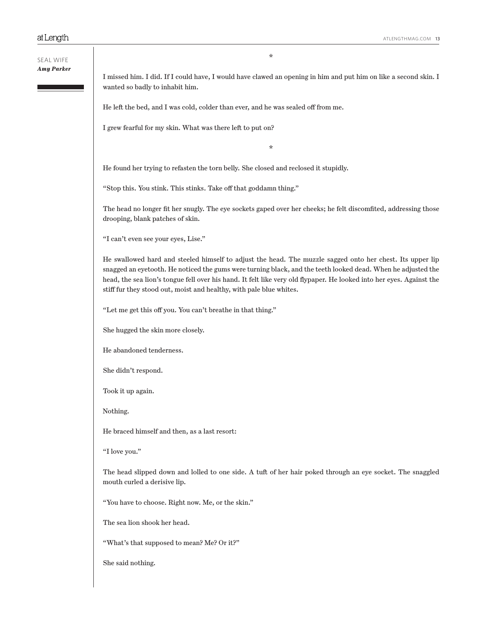\*

I missed him. I did. If I could have, I would have clawed an opening in him and put him on like a second skin. I wanted so badly to inhabit him.

He left the bed, and I was cold, colder than ever, and he was sealed off from me.

I grew fearful for my skin. What was there left to put on?

\*

He found her trying to refasten the torn belly. She closed and reclosed it stupidly.

"Stop this. You stink. This stinks. Take off that goddamn thing."

The head no longer fit her snugly. The eye sockets gaped over her cheeks; he felt discomfited, addressing those drooping, blank patches of skin.

"I can't even see your eyes, Lise."

He swallowed hard and steeled himself to adjust the head. The muzzle sagged onto her chest. Its upper lip snagged an eyetooth. He noticed the gums were turning black, and the teeth looked dead. When he adjusted the head, the sea lion's tongue fell over his hand. It felt like very old flypaper. He looked into her eyes. Against the stiff fur they stood out, moist and healthy, with pale blue whites.

"Let me get this off you. You can't breathe in that thing."

She hugged the skin more closely.

He abandoned tenderness.

She didn't respond.

Took it up again.

Nothing.

He braced himself and then, as a last resort:

"I love you."

The head slipped down and lolled to one side. A tuft of her hair poked through an eye socket. The snaggled mouth curled a derisive lip.

"You have to choose. Right now. Me, or the skin."

The sea lion shook her head.

"What's that supposed to mean? Me? Or it?"

She said nothing.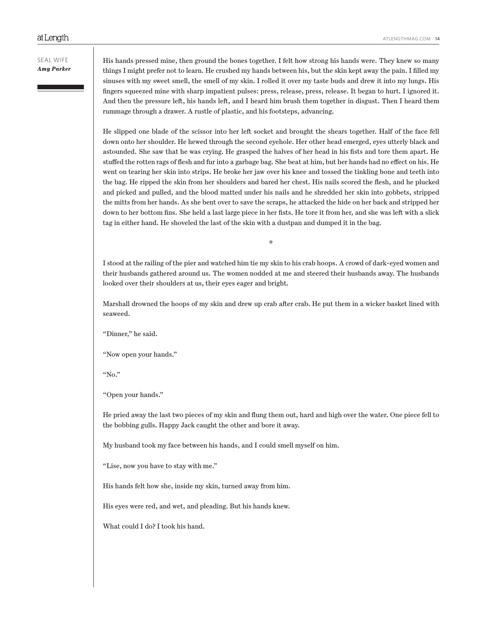His hands pressed mine, then ground the bones together. I felt how strong his hands were. They knew so many things I might prefer not to learn. He crushed my hands between his, but the skin kept away the pain. I filled my sinuses with my sweet smell, the smell of my skin. I rolled it over my taste buds and drew it into my lungs. His fingers squeezed mine with sharp impatient pulses: press, release, press, release. It began to hurt. I ignored it. And then the pressure left, his hands left, and I heard him brush them together in disgust. Then I heard them rummage through a drawer. A rustle of plastic, and his footsteps, advancing.

He slipped one blade of the scissor into her left socket and brought the shears together. Half of the face fell down onto her shoulder. He hewed through the second eyehole. Her other head emerged, eyes utterly black and astounded. She saw that he was crying. He grasped the halves of her head in his fists and tore them apart. He stuffed the rotten rags of flesh and fur into a garbage bag. She beat at him, but her hands had no effect on his. He went on tearing her skin into strips. He broke her jaw over his knee and tossed the tinkling bone and teeth into the bag. He ripped the skin from her shoulders and bared her chest. His nails scored the flesh, and he plucked and picked and pulled, and the blood matted under his nails and he shredded her skin into gobbets, stripped the mitts from her hands. As she bent over to save the scraps, he attacked the hide on her back and stripped her down to her bottom fins. She held a last large piece in her fists. He tore it from her, and she was left with a slick tag in either hand. He shoveled the last of the skin with a dustpan and dumped it in the bag.

I stood at the railing of the pier and watched him tie my skin to his crab hoops. A crowd of dark-eyed women and their husbands gathered around us. The women nodded at me and steered their husbands away. The husbands looked over their shoulders at us, their eyes eager and bright.

\*

Marshall drowned the hoops of my skin and drew up crab after crab. He put them in a wicker basket lined with seaweed.

"Dinner," he said.

"Now open your hands."

"No."

"Open your hands."

He pried away the last two pieces of my skin and flung them out, hard and high over the water. One piece fell to the bobbing gulls. Happy Jack caught the other and bore it away.

My husband took my face between his hands, and I could smell myself on him.

"Lise, now you have to stay with me."

His hands felt how she, inside my skin, turned away from him.

His eyes were red, and wet, and pleading. But his hands knew.

What could I do? I took his hand.